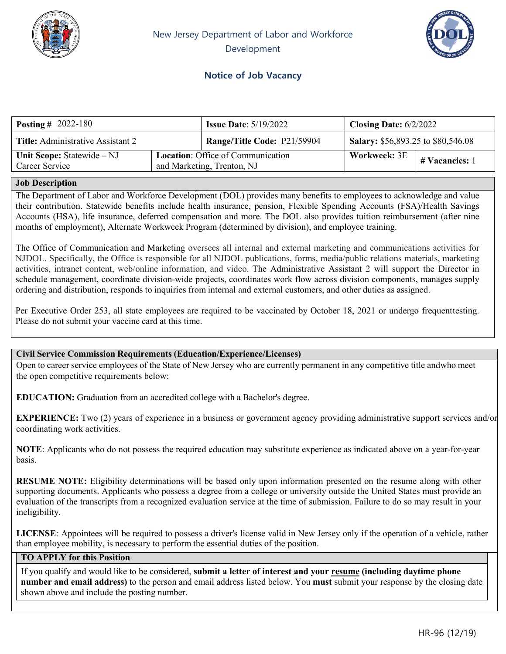



# **Notice of Job Vacancy**

| <b>Posting</b> # 2022-180                    |                                                                        | <b>Issue Date:</b> $5/19/2022$ | Closing Date: $6/2/2022$                  |                                 |
|----------------------------------------------|------------------------------------------------------------------------|--------------------------------|-------------------------------------------|---------------------------------|
| <b>Title:</b> Administrative Assistant 2     |                                                                        | Range/Title Code: P21/59904    | <b>Salary:</b> \$56,893.25 to \$80,546.08 |                                 |
| Unit Scope: Statewide – NJ<br>Career Service | <b>Location:</b> Office of Communication<br>and Marketing, Trenton, NJ |                                |                                           | Workweek: $3E$   # Vacancies: 1 |

#### **Job Description**

Trenton, NJ The Department of Labor and Workforce Development (DOL) provides many benefits to employees to acknowledge and value their contribution. Statewide benefits include health insurance, pension, Flexible Spending Accounts (FSA)/Health Savings Accounts (HSA), life insurance, deferred compensation and more. The DOL also provides tuition reimbursement (after nine months of employment), Alternate Workweek Program (determined by division), and employee training.

The Office of Communication and Marketing oversees all internal and external marketing and communications activities for NJDOL. Specifically, the Office is responsible for all NJDOL publications, forms, media/public relations materials, marketing activities, intranet content, web/online information, and video. The Administrative Assistant 2 will support the Director in schedule management, coordinate division-wide projects, coordinates work flow across division components, manages supply ordering and distribution, responds to inquiries from internal and external customers, and other duties as assigned.

Per Executive Order 253, all state employees are required to be vaccinated by October 18, 2021 or undergo frequenttesting. Please do not submit your vaccine card at this time.

#### **Civil Service Commission Requirements (Education/Experience/Licenses)**

Open to career service employees of the State of New Jersey who are currently permanent in any competitive title andwho meet the open competitive requirements below:

**EDUCATION:** Graduation from an accredited college with a Bachelor's degree.

**EXPERIENCE:** Two (2) years of experience in a business or government agency providing administrative support services and/or coordinating work activities.

**NOTE**: Applicants who do not possess the required education may substitute experience as indicated above on a year-for-year basis.

**RESUME NOTE:** Eligibility determinations will be based only upon information presented on the resume along with other supporting documents. Applicants who possess a degree from a college or university outside the United States must provide an evaluation of the transcripts from a recognized evaluation service at the time of submission. Failure to do so may result in your ineligibility.

**LICENSE**: Appointees will be required to possess a driver's license valid in New Jersey only if the operation of a vehicle, rather than employee mobility, is necessary to perform the essential duties of the position.

### **TO APPLY for this Position**

If you qualify and would like to be considered, **submit a letter of interest and your resume (including daytime phone number and email address)** to the person and email address listed below. You **must** submit your response by the closing date shown above and include the posting number.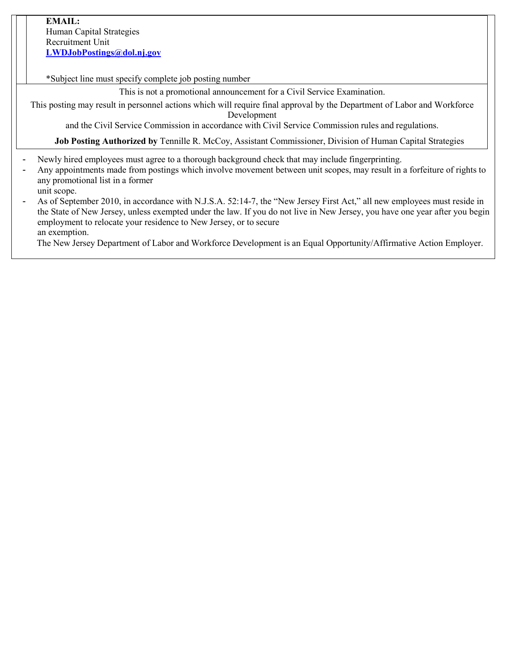### **EMAIL:**

Human Capital Strategies Recruitment Unit **[LWDJobPostings@dol.nj.gov](mailto:LWDJobPostings@dol.nj.gov)**

\*Subject line must specify complete job posting number

This is not a promotional announcement for a Civil Service Examination.

This posting may result in personnel actions which will require final approval by the Department of Labor and Workforce Development

and the Civil Service Commission in accordance with Civil Service Commission rules and regulations.

**Job Posting Authorized by** Tennille R. McCoy, Assistant Commissioner, Division of Human Capital Strategies

- Newly hired employees must agree to a thorough background check that may include fingerprinting.
- Any appointments made from postings which involve movement between unit scopes, may result in a forfeiture of rights to any promotional list in a former unit scope.
- As of September 2010, in accordance with N.J.S.A. 52:14-7, the "New Jersey First Act," all new employees must reside in the State of New Jersey, unless exempted under the law. If you do not live in New Jersey, you have one year after you begin employment to relocate your residence to New Jersey, or to secure an exemption.

The New Jersey Department of Labor and Workforce Development is an Equal Opportunity/Affirmative Action Employer.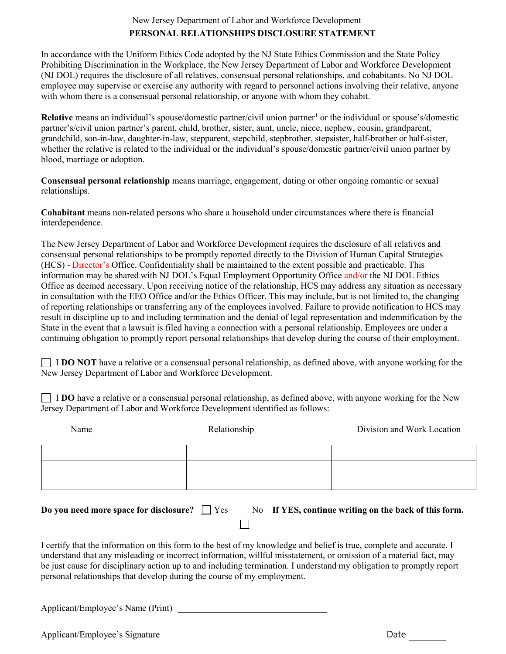## New Jersey Department of Labor and Workforce Development **PERSONAL RELATIONSHIPS DISCLOSURE STATEMENT**

In accordance with the Uniform Ethics Code adopted by the NJ State Ethics Commission and the State Policy Prohibiting Discrimination in the Workplace, the New Jersey Department of Labor and Workforce Development (NJ DOL) requires the disclosure of all relatives, consensual personal relationships, and cohabitants. No NJ DOL employee may supervise or exercise any authority with regard to personnel actions involving their relative, anyone with whom there is a consensual personal relationship, or anyone with whom they cohabit.

**Relative** means an individual's spouse/domestic partner/civil union partner<sup>1</sup> or the individual or spouse's/domestic partner's/civil union partner's parent, child, brother, sister, aunt, uncle, niece, nephew, cousin, grandparent, grandchild, son-in-law, daughter-in-law, stepparent, stepchild, stepbrother, stepsister, half-brother or half-sister, whether the relative is related to the individual or the individual's spouse/domestic partner/civil union partner by blood, marriage or adoption.

**Consensual personal relationship** means marriage, engagement, dating or other ongoing romantic or sexual relationships.

**Cohabitant** means non-related persons who share a household under circumstances where there is financial interdependence.

The New Jersey Department of Labor and Workforce Development requires the disclosure of all relatives and consensual personal relationships to be promptly reported directly to the Division of Human Capital Strategies (HCS) - Director's Office. Confidentiality shall be maintained to the extent possible and practicable. This information may be shared with NJ DOL's Equal Employment Opportunity Office and/or the NJ DOL Ethics Office as deemed necessary. Upon receiving notice of the relationship, HCS may address any situation as necessary in consultation with the EEO Office and/or the Ethics Officer. This may include, but is not limited to, the changing of reporting relationships or transferring any of the employees involved. Failure to provide notification to HCS may result in discipline up to and including termination and the denial of legal representation and indemnification by the State in the event that a lawsuit is filed having a connection with a personal relationship. Employees are under a continuing obligation to promptly report personal relationships that develop during the course of their employment.

**I DO NOT** have a relative or a consensual personal relationship, as defined above, with anyone working for the New Jersey Department of Labor and Workforce Development.

**I DO** have a relative or a consensual personal relationship, as defined above, with anyone working for the New Jersey Department of Labor and Workforce Development identified as follows:

| Name                                                                                                                                                                                                                                                                                                                                                                                                                                          | Relationship | Division and Work Location                            |  |  |
|-----------------------------------------------------------------------------------------------------------------------------------------------------------------------------------------------------------------------------------------------------------------------------------------------------------------------------------------------------------------------------------------------------------------------------------------------|--------------|-------------------------------------------------------|--|--|
|                                                                                                                                                                                                                                                                                                                                                                                                                                               |              |                                                       |  |  |
|                                                                                                                                                                                                                                                                                                                                                                                                                                               |              |                                                       |  |  |
| Do you need more space for disclosure? $\Box$ Yes                                                                                                                                                                                                                                                                                                                                                                                             |              | No If YES, continue writing on the back of this form. |  |  |
| I certify that the information on this form to the best of my knowledge and belief is true, complete and accurate. I<br>understand that any misleading or incorrect information, willful misstatement, or omission of a material fact, may<br>be just cause for disciplinary action up to and including termination. I understand my obligation to promptly report<br>personal relationships that develop during the course of my employment. |              |                                                       |  |  |
| Applicant/Employee's Name (Print)                                                                                                                                                                                                                                                                                                                                                                                                             |              |                                                       |  |  |

Applicant/Employee's Signature **Date** Date Date